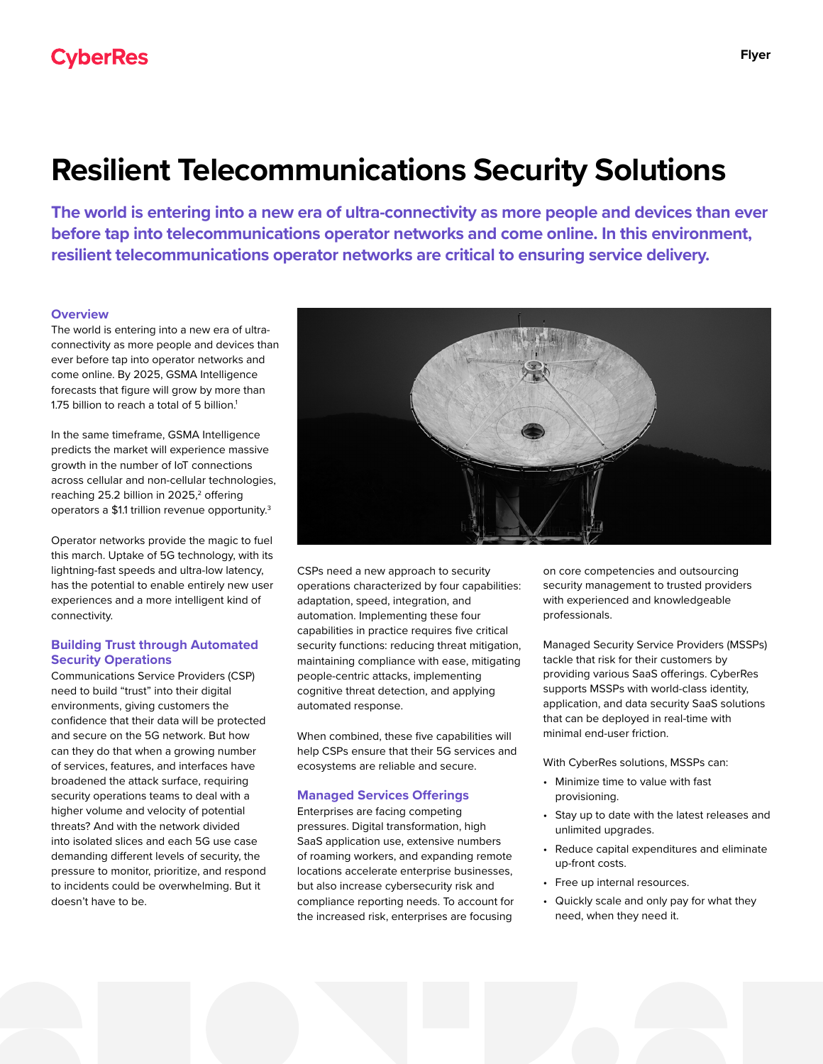# **Resilient Telecommunications Security Solutions**

**The world is entering into a new era of ultra-connectivity as more people and devices than ever before tap into telecommunications operator networks and come online. In this environment, resilient telecommunications operator networks are critical to ensuring service delivery.** 

## **Overview**

The world is entering into a new era of ultraconnectivity as more people and devices than ever before tap into operator networks and come online. By 2025, GSMA Intelligence forecasts that figure will grow by more than 1.75 billion to reach a total of 5 billion.<sup>1</sup>

In the same timeframe, GSMA Intelligence predicts the market will experience massive growth in the number of IoT connections across cellular and non-cellular technologies, reaching 25.2 billion in 2025,<sup>2</sup> offering operators a \$1.1 trillion revenue opportunity.3

Operator networks provide the magic to fuel this march. Uptake of 5G technology, with its lightning-fast speeds and ultra-low latency, has the potential to enable entirely new user experiences and a more intelligent kind of connectivity.

## **Building Trust through Automated Security Operations**

Communications Service Providers (CSP) need to build "trust" into their digital environments, giving customers the confidence that their data will be protected and secure on the 5G network. But how can they do that when a growing number of services, features, and interfaces have broadened the attack surface, requiring security operations teams to deal with a higher volume and velocity of potential threats? And with the network divided into isolated slices and each 5G use case demanding different levels of security, the pressure to monitor, prioritize, and respond to incidents could be overwhelming. But it doesn't have to be.



CSPs need a new approach to security operations characterized by four capabilities: adaptation, speed, integration, and automation. Implementing these four capabilities in practice requires five critical security functions: reducing threat mitigation, maintaining compliance with ease, mitigating people-centric attacks, implementing cognitive threat detection, and applying automated response.

When combined, these five capabilities will help CSPs ensure that their 5G services and ecosystems are reliable and secure.

#### **Managed Services Offerings**

Enterprises are facing competing pressures. Digital transformation, high SaaS application use, extensive numbers of roaming workers, and expanding remote locations accelerate enterprise businesses, but also increase cybersecurity risk and compliance reporting needs. To account for the increased risk, enterprises are focusing

on core competencies and outsourcing security management to trusted providers with experienced and knowledgeable professionals.

Managed Security Service Providers (MSSPs) tackle that risk for their customers by providing various SaaS offerings. CyberRes supports MSSPs with world-class identity, application, and data security SaaS solutions that can be deployed in real-time with minimal end-user friction.

With CyberRes solutions, MSSPs can:

- Minimize time to value with fast provisioning.
- Stay up to date with the latest releases and unlimited upgrades.
- Reduce capital expenditures and eliminate up-front costs.
- Free up internal resources.
- Quickly scale and only pay for what they need, when they need it.